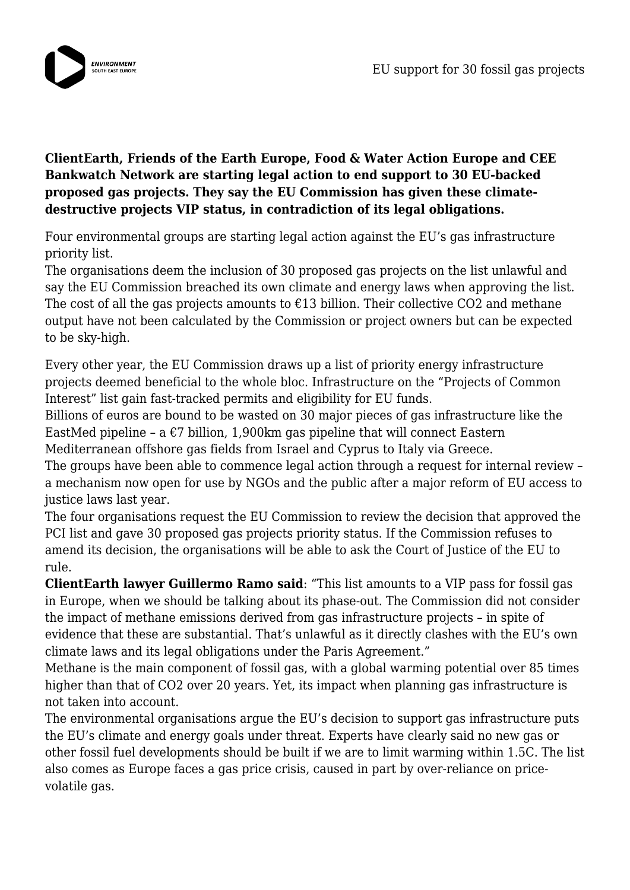

## **ClientEarth, Friends of the Earth Europe, Food & Water Action Europe and CEE Bankwatch Network are starting legal action to end support to 30 EU-backed proposed gas projects. They say the EU Commission has given these climatedestructive projects VIP status, in contradiction of its legal obligations.**

Four environmental groups are starting legal action against the EU's gas infrastructure priority list.

The organisations deem the inclusion of 30 proposed gas projects on the list unlawful and say the EU Commission breached its own climate and energy laws when approving the list. The cost of all the gas projects amounts to  $\epsilon$ 13 billion. Their collective CO2 and methane output have not been calculated by the Commission or project owners but can be expected to be sky-high.

Every other year, the EU Commission draws up a list of priority energy infrastructure projects deemed beneficial to the whole bloc. Infrastructure on the "Projects of Common Interest" list gain fast-tracked permits and eligibility for EU funds.

Billions of euros are bound to be wasted on 30 major pieces of gas infrastructure like the EastMed pipeline – a  $\epsilon$ 7 billion, 1,900km gas pipeline that will connect Eastern Mediterranean offshore gas fields from Israel and Cyprus to Italy via Greece.

The groups have been able to commence legal action through a request for internal review – a mechanism now open for use by NGOs and the public after a major reform of EU access to justice laws last year.

The four organisations request the EU Commission to review the decision that approved the PCI list and gave 30 proposed gas projects priority status. If the Commission refuses to amend its decision, the organisations will be able to ask the Court of Justice of the EU to rule.

**ClientEarth lawyer Guillermo Ramo said**: "This list amounts to a VIP pass for fossil gas in Europe, when we should be talking about its phase-out. The Commission did not consider the impact of methane emissions derived from gas infrastructure projects – in spite of evidence that these are substantial. That's unlawful as it directly clashes with the EU's own climate laws and its legal obligations under the Paris Agreement."

Methane is the main component of fossil gas, with a global warming potential over 85 times higher than that of CO2 over 20 years. Yet, its impact when planning gas infrastructure is not taken into account.

The environmental organisations argue the EU's decision to support gas infrastructure puts the EU's climate and energy goals under threat. Experts have clearly said no new gas or other fossil fuel developments should be built if we are to limit warming within 1.5C. The list also comes as Europe faces a gas price crisis, caused in part by over-reliance on pricevolatile gas.